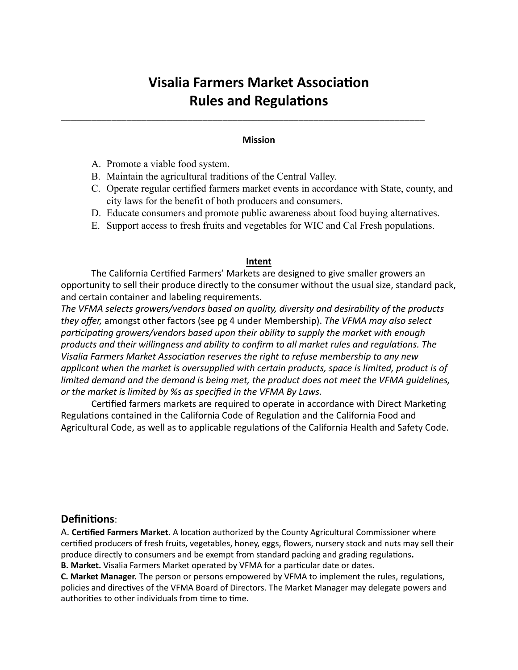# **Visalia Farmers Market Association Rules and Regulations**

# **Mission**

\_\_\_\_\_\_\_\_\_\_\_\_\_\_\_\_\_\_\_\_\_\_\_\_\_\_\_\_\_\_\_\_\_\_\_\_\_\_\_\_\_\_\_\_\_\_\_\_\_\_\_\_\_\_\_\_\_\_\_\_\_\_\_\_\_\_\_\_\_\_\_\_

- A. Promote a viable food system.
- B. Maintain the agricultural traditions of the Central Valley.
- C. Operate regular certified farmers market events in accordance with State, county, and city laws for the benefit of both producers and consumers.
- D. Educate consumers and promote public awareness about food buying alternatives.
- E. Support access to fresh fruits and vegetables for WIC and Cal Fresh populations.

#### **Intent**

The California Certified Farmers' Markets are designed to give smaller growers an opportunity to sell their produce directly to the consumer without the usual size, standard pack, and certain container and labeling requirements.

The VFMA selects growers/vendors based on quality, diversity and desirability of the products *they offer,* amongst other factors (see pg 4 under Membership). The VFMA may also select participating growers/vendors based upon their ability to supply the market with enough products and their willingness and ability to confirm to all market rules and regulations. The *Visalia Farmers Market Association reserves the right to refuse membership to any new* applicant when the market is oversupplied with certain products, space is limited, product is of *limited demand and the demand is being met, the product does not meet the VFMA guidelines,* or the market is limited by %s as specified in the VFMA By Laws.

Certified farmers markets are required to operate in accordance with Direct Marketing Regulations contained in the California Code of Regulation and the California Food and Agricultural Code, as well as to applicable regulations of the California Health and Safety Code.

# **Definitions:**

A. **Certified Farmers Market.** A location authorized by the County Agricultural Commissioner where certified producers of fresh fruits, vegetables, honey, eggs, flowers, nursery stock and nuts may sell their produce directly to consumers and be exempt from standard packing and grading regulations. **B. Market.** Visalia Farmers Market operated by VFMA for a particular date or dates.

**C. Market Manager.** The person or persons empowered by VFMA to implement the rules, regulations, policies and directives of the VFMA Board of Directors. The Market Manager may delegate powers and authorities to other individuals from time to time.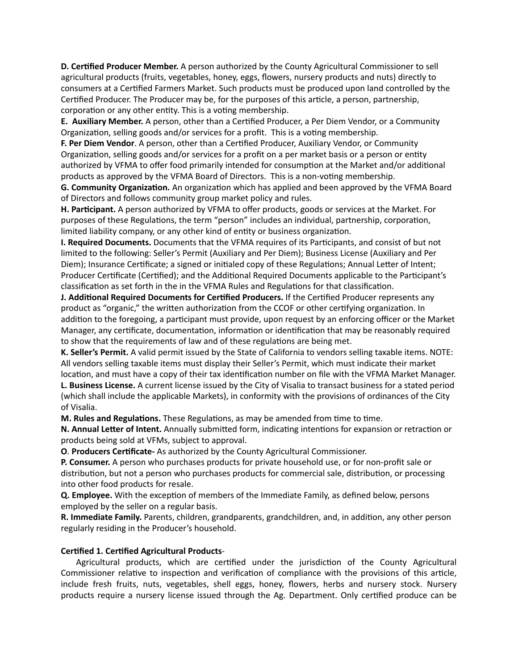**D. Certified Producer Member.** A person authorized by the County Agricultural Commissioner to sell agricultural products (fruits, vegetables, honey, eggs, flowers, nursery products and nuts) directly to consumers at a Certified Farmers Market. Such products must be produced upon land controlled by the Certified Producer. The Producer may be, for the purposes of this article, a person, partnership, corporation or any other entity. This is a voting membership.

**E. Auxiliary Member.** A person, other than a Certified Producer, a Per Diem Vendor, or a Community Organization, selling goods and/or services for a profit. This is a voting membership.

**F. Per Diem Vendor**. A person, other than a Certified Producer, Auxiliary Vendor, or Community Organization, selling goods and/or services for a profit on a per market basis or a person or entity authorized by VFMA to offer food primarily intended for consumption at the Market and/or additional products as approved by the VFMA Board of Directors. This is a non-voting membership.

**G. Community Organization.** An organization which has applied and been approved by the VFMA Board of Directors and follows community group market policy and rules.

H. Participant. A person authorized by VFMA to offer products, goods or services at the Market. For purposes of these Regulations, the term "person" includes an individual, partnership, corporation, limited liability company, or any other kind of entity or business organization.

**I. Required Documents.** Documents that the VFMA requires of its Participants, and consist of but not limited to the following: Seller's Permit (Auxiliary and Per Diem); Business License (Auxiliary and Per Diem); Insurance Certificate; a signed or initialed copy of these Regulations; Annual Letter of Intent; Producer Certificate (Certified); and the Additional Required Documents applicable to the Participant's classification as set forth in the in the VFMA Rules and Regulations for that classification.

**J. Additional Required Documents for Certified Producers.** If the Certified Producer represents any product as "organic," the written authorization from the CCOF or other certifying organization. In addition to the foregoing, a participant must provide, upon request by an enforcing officer or the Market Manager, any certificate, documentation, information or identification that may be reasonably required to show that the requirements of law and of these regulations are being met.

**K. Seller's Permit.** A valid permit issued by the State of California to vendors selling taxable items. NOTE: All vendors selling taxable items must display their Seller's Permit, which must indicate their market location, and must have a copy of their tax identification number on file with the VFMA Market Manager.

**L. Business License.** A current license issued by the City of Visalia to transact business for a stated period (which shall include the applicable Markets), in conformity with the provisions of ordinances of the City of Visalia. 

**M. Rules and Regulations.** These Regulations, as may be amended from time to time.

**N. Annual Letter of Intent.** Annually submitted form, indicating intentions for expansion or retraction or products being sold at VFMs, subject to approval.

**O.** Producers Certificate- As authorized by the County Agricultural Commissioner.

**P. Consumer.** A person who purchases products for private household use, or for non-profit sale or distribution, but not a person who purchases products for commercial sale, distribution, or processing into other food products for resale.

**Q.** Employee. With the exception of members of the Immediate Family, as defined below, persons employed by the seller on a regular basis.

**R. Immediate Family.** Parents, children, grandparents, grandchildren, and, in addition, any other person regularly residing in the Producer's household.

# **Certified 1. Certified Agricultural Products-**

Agricultural products, which are certified under the jurisdiction of the County Agricultural Commissioner relative to inspection and verification of compliance with the provisions of this article, include fresh fruits, nuts, vegetables, shell eggs, honey, flowers, herbs and nursery stock. Nursery products require a nursery license issued through the Ag. Department. Only certified produce can be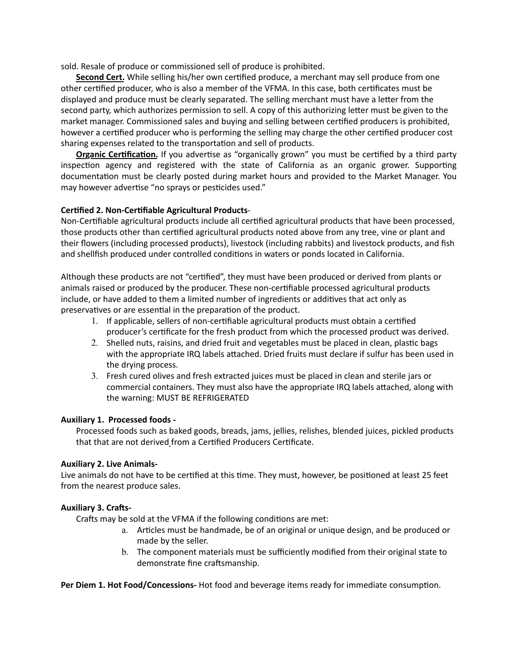sold. Resale of produce or commissioned sell of produce is prohibited.

**Second Cert.** While selling his/her own certified produce, a merchant may sell produce from one other certified producer, who is also a member of the VFMA. In this case, both certificates must be displayed and produce must be clearly separated. The selling merchant must have a letter from the second party, which authorizes permission to sell. A copy of this authorizing letter must be given to the market manager. Commissioned sales and buying and selling between certified producers is prohibited, however a certified producer who is performing the selling may charge the other certified producer cost sharing expenses related to the transportation and sell of products.

**Organic Certification.** If you advertise as "organically grown" you must be certified by a third party inspection agency and registered with the state of California as an organic grower. Supporting documentation must be clearly posted during market hours and provided to the Market Manager. You may however advertise "no sprays or pesticides used."

#### **Certified 2. Non-Certifiable Agricultural Products-**

Non-Certifiable agricultural products include all certified agricultural products that have been processed, those products other than certified agricultural products noted above from any tree, vine or plant and their flowers (including processed products), livestock (including rabbits) and livestock products, and fish and shellfish produced under controlled conditions in waters or ponds located in California.

Although these products are not "certified", they must have been produced or derived from plants or animals raised or produced by the producer. These non-certifiable processed agricultural products include, or have added to them a limited number of ingredients or additives that act only as preservatives or are essential in the preparation of the product.

- 1. If applicable, sellers of non-certifiable agricultural products must obtain a certified producer's certificate for the fresh product from which the processed product was derived.
- 2. Shelled nuts, raisins, and dried fruit and vegetables must be placed in clean, plastic bags with the appropriate IRQ labels attached. Dried fruits must declare if sulfur has been used in the drying process.
- 3. Fresh cured olives and fresh extracted juices must be placed in clean and sterile jars or commercial containers. They must also have the appropriate IRQ labels attached, along with the warning: MUST BE REFRIGERATED

# Auxiliary 1. Processed foods -

Processed foods such as baked goods, breads, jams, jellies, relishes, blended juices, pickled products that that are not derived from a Certified Producers Certificate.

#### **Auxiliary 2. Live Animals-**

Live animals do not have to be certified at this time. They must, however, be positioned at least 25 feet from the nearest produce sales.

# **Auxiliary 3. Crafts-**

Crafts may be sold at the VFMA if the following conditions are met:

- a. Articles must be handmade, be of an original or unique design, and be produced or made by the seller.
- b. The component materials must be sufficiently modified from their original state to demonstrate fine craftsmanship.

**Per Diem 1. Hot Food/Concessions-** Hot food and beverage items ready for immediate consumption.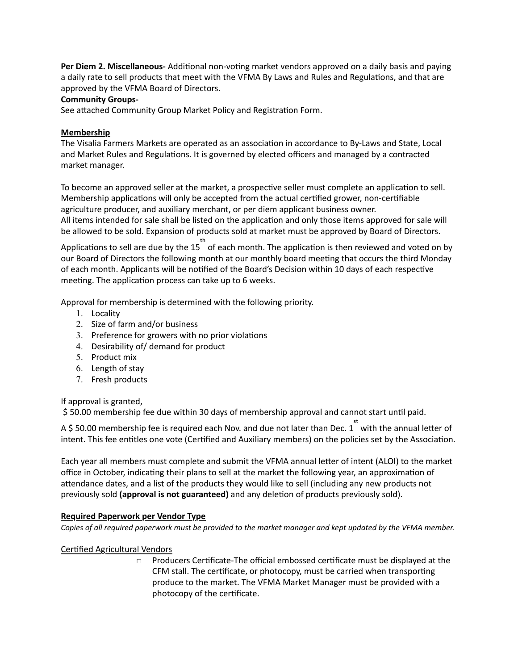**Per Diem 2. Miscellaneous-** Additional non-voting market vendors approved on a daily basis and paying a daily rate to sell products that meet with the VFMA By Laws and Rules and Regulations, and that are approved by the VFMA Board of Directors.

# **Community Groups-**

See attached Community Group Market Policy and Registration Form.

# **Membership**

The Visalia Farmers Markets are operated as an association in accordance to By-Laws and State, Local and Market Rules and Regulations. It is governed by elected officers and managed by a contracted market manager.

To become an approved seller at the market, a prospective seller must complete an application to sell. Membership applications will only be accepted from the actual certified grower, non-certifiable agriculture producer, and auxiliary merchant, or per diem applicant business owner. All items intended for sale shall be listed on the application and only those items approved for sale will be allowed to be sold. Expansion of products sold at market must be approved by Board of Directors.

Applications to sell are due by the 15 set of each month. The application is then reviewed and voted on by our Board of Directors the following month at our monthly board meeting that occurs the third Monday of each month. Applicants will be notified of the Board's Decision within 10 days of each respective meeting. The application process can take up to 6 weeks.

Approval for membership is determined with the following priority.

- 1. Locality
- 2. Size of farm and/or business
- 3. Preference for growers with no prior violations
- 4. Desirability of/ demand for product
- 5. Product mix
- $6.$  Length of stay
- 7. Fresh products

If approval is granted,

\$ 50.00 membership fee due within 30 days of membership approval and cannot start until paid.

A \$ 50.00 membership fee is required each Nov. and due not later than Dec. 1 with the annual letter of intent. This fee entitles one vote (Certified and Auxiliary members) on the policies set by the Association.

Each year all members must complete and submit the VFMA annual letter of intent (ALOI) to the market office in October, indicating their plans to sell at the market the following year, an approximation of attendance dates, and a list of the products they would like to sell (including any new products not previously sold (approval is not guaranteed) and any deletion of products previously sold).

# **Required Paperwork per Vendor Type**

*Copies of all required paperwork must be provided to the market manager and kept updated by the VFMA member.* 

# Certified Agricultural Vendors

 $\Box$  Producers Certificate-The official embossed certificate must be displayed at the CFM stall. The certificate, or photocopy, must be carried when transporting produce to the market. The VFMA Market Manager must be provided with a photocopy of the certificate.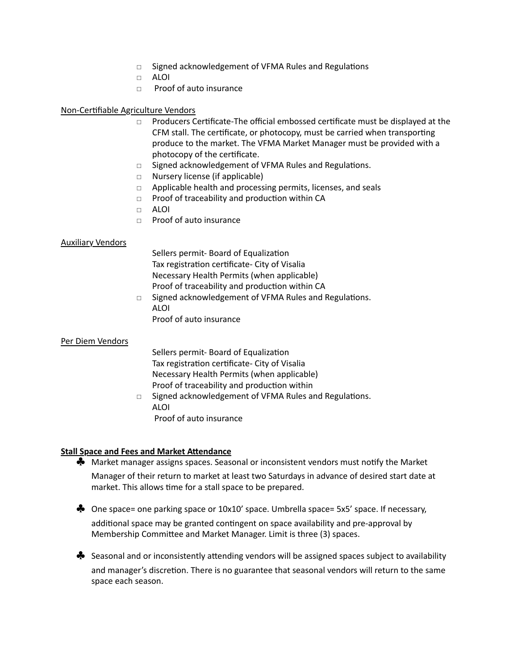- $\Box$  Signed acknowledgement of VFMA Rules and Regulations
- □ ALOI
- □ Proof of auto insurance

#### Non-Certifiable Agriculture Vendors

- $\Box$  Producers Certificate-The official embossed certificate must be displayed at the CFM stall. The certificate, or photocopy, must be carried when transporting produce to the market. The VFMA Market Manager must be provided with a photocopy of the certificate.
- $\Box$  Signed acknowledgement of VFMA Rules and Regulations.
- □ Nursery license (if applicable)
- $\Box$  Applicable health and processing permits, licenses, and seals
- $\Box$  Proof of traceability and production within CA
- □ ALOI
- □ Proof of auto insurance

#### Auxiliary Vendors

Sellers permit- Board of Equalization Tax registration certificate- City of Visalia Necessary Health Permits (when applicable) Proof of traceability and production within CA

□ Signed acknowledgement of VFMA Rules and Regulations. ALOI Proof of auto insurance

#### Per Diem Vendors

Sellers permit- Board of Equalization Tax registration certificate- City of Visalia Necessary Health Permits (when applicable) Proof of traceability and production within

 $\Box$  Signed acknowledgement of VFMA Rules and Regulations. ALOI Proof of auto insurance

#### **Stall Space and Fees and Market Attendance**

- $\clubsuit$  Market manager assigns spaces. Seasonal or inconsistent vendors must notify the Market Manager of their return to market at least two Saturdays in advance of desired start date at market. This allows time for a stall space to be prepared.
- $\clubsuit$  One space= one parking space or  $10x10'$  space. Umbrella space=  $5x5'$  space. If necessary, additional space may be granted contingent on space availability and pre-approval by Membership Committee and Market Manager. Limit is three (3) spaces.
- $\clubsuit$  Seasonal and or inconsistently attending vendors will be assigned spaces subject to availability and manager's discretion. There is no guarantee that seasonal vendors will return to the same space each season.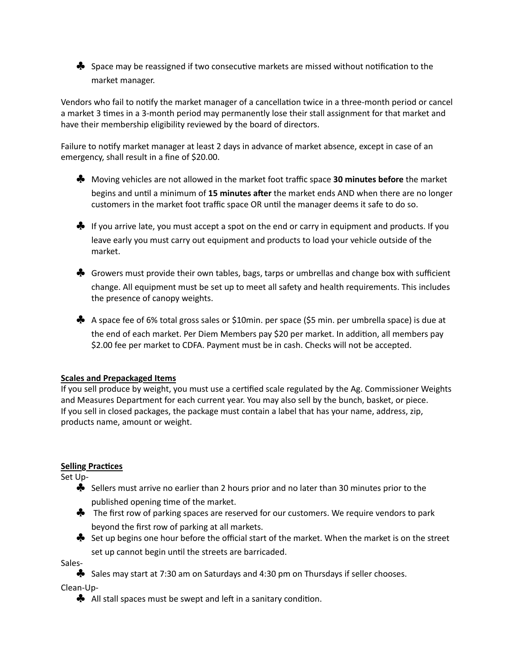$\clubsuit$  Space may be reassigned if two consecutive markets are missed without notification to the market manager.

Vendors who fail to notify the market manager of a cancellation twice in a three-month period or cancel a market 3 times in a 3-month period may permanently lose their stall assignment for that market and have their membership eligibility reviewed by the board of directors.

Failure to notify market manager at least 2 days in advance of market absence, except in case of an emergency, shall result in a fine of \$20.00.

- ◆ Moving vehicles are not allowed in the market foot traffic space **30 minutes before** the market begins and until a minimum of 15 minutes after the market ends AND when there are no longer customers in the market foot traffic space OR until the manager deems it safe to do so.
- $\clubsuit$  If you arrive late, you must accept a spot on the end or carry in equipment and products. If you leave early you must carry out equipment and products to load your vehicle outside of the market.
- $\clubsuit$  Growers must provide their own tables, bags, tarps or umbrellas and change box with sufficient change. All equipment must be set up to meet all safety and health requirements. This includes the presence of canopy weights.
- ◆ A space fee of 6% total gross sales or \$10min. per space (\$5 min. per umbrella space) is due at the end of each market. Per Diem Members pay \$20 per market. In addition, all members pay \$2.00 fee per market to CDFA. Payment must be in cash. Checks will not be accepted.

# **Scales and Prepackaged Items**

If you sell produce by weight, you must use a certified scale regulated by the Ag. Commissioner Weights and Measures Department for each current year. You may also sell by the bunch, basket, or piece. If you sell in closed packages, the package must contain a label that has your name, address, zip, products name, amount or weight.

# **Selling Practices**

Set Up-

- $\clubsuit$  Sellers must arrive no earlier than 2 hours prior and no later than 30 minutes prior to the published opening time of the market.
- ◆ The first row of parking spaces are reserved for our customers. We require vendors to park beyond the first row of parking at all markets.
- ◆ Set up begins one hour before the official start of the market. When the market is on the street set up cannot begin until the streets are barricaded.

Sales- 

 $\clubsuit$  Sales may start at 7:30 am on Saturdays and 4:30 pm on Thursdays if seller chooses.

Clean-Up- 

 $\clubsuit$  All stall spaces must be swept and left in a sanitary condition.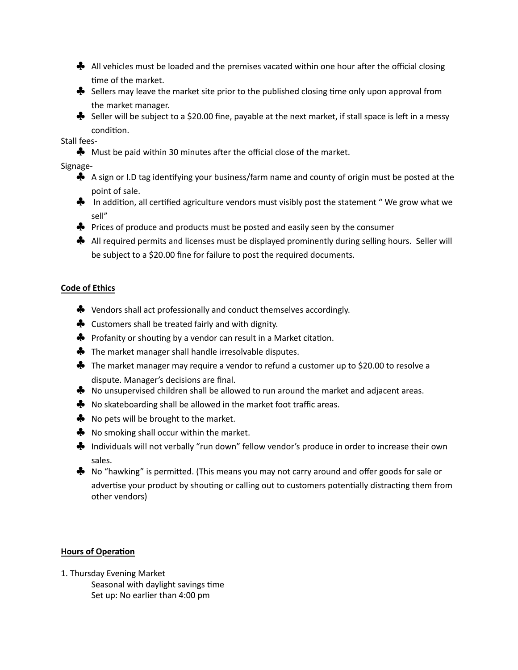- $\clubsuit$  All vehicles must be loaded and the premises vacated within one hour after the official closing time of the market.
- $\clubsuit$  Sellers may leave the market site prior to the published closing time only upon approval from the market manager.
- $\clubsuit$  Seller will be subject to a \$20.00 fine, payable at the next market, if stall space is left in a messy condition.

# Stall fees-

 $\clubsuit$  Must be paid within 30 minutes after the official close of the market.

Signage-

- A sign or I.D tag identifying your business/farm name and county of origin must be posted at the point of sale.
- $\clubsuit$  In addition, all certified agriculture vendors must visibly post the statement " We grow what we sell"
- ◆ Prices of produce and products must be posted and easily seen by the consumer
- ◆ All required permits and licenses must be displayed prominently during selling hours. Seller will be subject to a \$20.00 fine for failure to post the required documents.

# **Code of Ethics**

- $\clubsuit$  Vendors shall act professionally and conduct themselves accordingly.
- $\clubsuit$  Customers shall be treated fairly and with dignity.
- $\clubsuit$  Profanity or shouting by a vendor can result in a Market citation.
- $\clubsuit$  The market manager shall handle irresolvable disputes.
- $\clubsuit$  The market manager may require a vendor to refund a customer up to \$20.00 to resolve a dispute. Manager's decisions are final.
- ◆ No unsupervised children shall be allowed to run around the market and adjacent areas.
- ◆ No skateboarding shall be allowed in the market foot traffic areas.
- $\clubsuit$  No pets will be brought to the market.
- $\clubsuit$  No smoking shall occur within the market.
- ◆ Individuals will not verbally "run down" fellow vendor's produce in order to increase their own sales.
- $\clubsuit$  No "hawking" is permitted. (This means you may not carry around and offer goods for sale or advertise your product by shouting or calling out to customers potentially distracting them from other vendors)

# **Hours of Operation**

1. Thursday Evening Market Seasonal with daylight savings time Set up: No earlier than 4:00 pm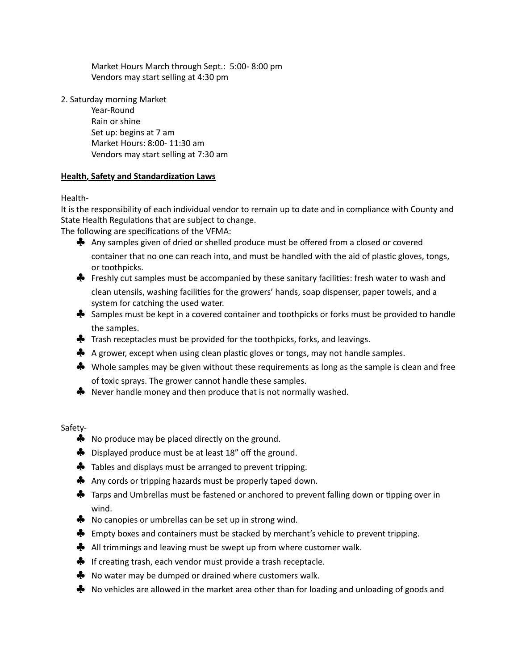Market Hours March through Sept.: 5:00-8:00 pm Vendors may start selling at 4:30 pm

2. Saturday morning Market

Year-Round Rain or shine Set up: begins at 7 am Market Hours: 8:00- 11:30 am Vendors may start selling at 7:30 am

# **Health, Safety and Standardization Laws**

Health- 

It is the responsibility of each individual vendor to remain up to date and in compliance with County and State Health Regulations that are subject to change.

The following are specifications of the VFMA:

- ◆ Any samples given of dried or shelled produce must be offered from a closed or covered container that no one can reach into, and must be handled with the aid of plastic gloves, tongs, or toothpicks.
- $\clubsuit$  Freshly cut samples must be accompanied by these sanitary facilities: fresh water to wash and clean utensils, washing facilities for the growers' hands, soap dispenser, paper towels, and a system for catching the used water.
- $\clubsuit$  Samples must be kept in a covered container and toothpicks or forks must be provided to handle the samples.
- $\clubsuit$  Trash receptacles must be provided for the toothpicks, forks, and leavings.
- A grower, except when using clean plastic gloves or tongs, may not handle samples.
- $\clubsuit$  Whole samples may be given without these requirements as long as the sample is clean and free of toxic sprays. The grower cannot handle these samples.
- $\clubsuit$  Never handle money and then produce that is not normally washed.

Safety-

- $\clubsuit$  No produce may be placed directly on the ground.
- $\clubsuit$  Displayed produce must be at least 18" off the ground.
- $\clubsuit$  Tables and displays must be arranged to prevent tripping.
- Any cords or tripping hazards must be properly taped down.
- $\clubsuit$  Tarps and Umbrellas must be fastened or anchored to prevent falling down or tipping over in wind.
- ◆ No canopies or umbrellas can be set up in strong wind.
- $\clubsuit$  Empty boxes and containers must be stacked by merchant's vehicle to prevent tripping.
- $\clubsuit$  All trimmings and leaving must be swept up from where customer walk.
- $\clubsuit$  If creating trash, each vendor must provide a trash receptacle.
- $\clubsuit$  No water may be dumped or drained where customers walk.
- $\clubsuit$  No vehicles are allowed in the market area other than for loading and unloading of goods and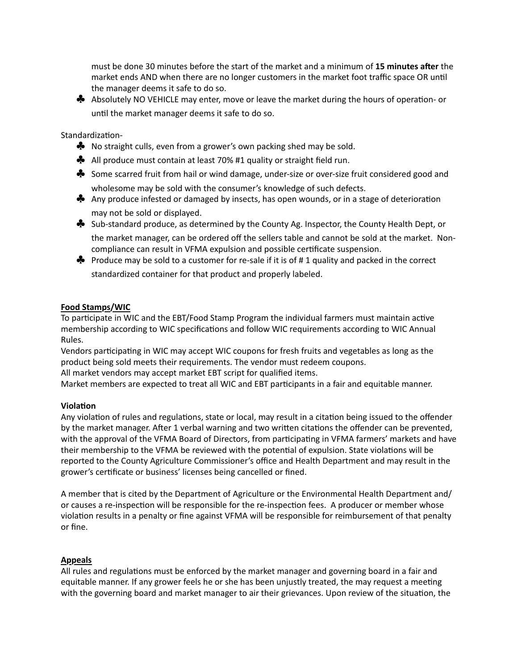must be done 30 minutes before the start of the market and a minimum of 15 minutes after the market ends AND when there are no longer customers in the market foot traffic space OR until the manager deems it safe to do so.

◆ Absolutely NO VEHICLE may enter, move or leave the market during the hours of operation- or until the market manager deems it safe to do so.

Standardization-

- $\clubsuit$  No straight culls, even from a grower's own packing shed may be sold.
- $\clubsuit$  All produce must contain at least 70% #1 quality or straight field run.
- ◆ Some scarred fruit from hail or wind damage, under-size or over-size fruit considered good and wholesome may be sold with the consumer's knowledge of such defects.
- Any produce infested or damaged by insects, has open wounds, or in a stage of deterioration may not be sold or displayed.
- ◆ Sub-standard produce, as determined by the County Ag. Inspector, the County Health Dept, or the market manager, can be ordered off the sellers table and cannot be sold at the market. Noncompliance can result in VFMA expulsion and possible certificate suspension.
- $\clubsuit$  Produce may be sold to a customer for re-sale if it is of #1 quality and packed in the correct standardized container for that product and properly labeled.

# **Food Stamps/WIC**

To participate in WIC and the EBT/Food Stamp Program the individual farmers must maintain active membership according to WIC specifications and follow WIC requirements according to WIC Annual Rules.

Vendors participating in WIC may accept WIC coupons for fresh fruits and vegetables as long as the product being sold meets their requirements. The vendor must redeem coupons.

All market vendors may accept market EBT script for qualified items.

Market members are expected to treat all WIC and EBT participants in a fair and equitable manner.

# **Violation**

Any violation of rules and regulations, state or local, may result in a citation being issued to the offender by the market manager. After 1 verbal warning and two written citations the offender can be prevented, with the approval of the VFMA Board of Directors, from participating in VFMA farmers' markets and have their membership to the VFMA be reviewed with the potential of expulsion. State violations will be reported to the County Agriculture Commissioner's office and Health Department and may result in the grower's certificate or business' licenses being cancelled or fined.

A member that is cited by the Department of Agriculture or the Environmental Health Department and/ or causes a re-inspection will be responsible for the re-inspection fees. A producer or member whose violation results in a penalty or fine against VFMA will be responsible for reimbursement of that penalty or fine.

# **Appeals**

All rules and regulations must be enforced by the market manager and governing board in a fair and equitable manner. If any grower feels he or she has been unjustly treated, the may request a meeting with the governing board and market manager to air their grievances. Upon review of the situation, the